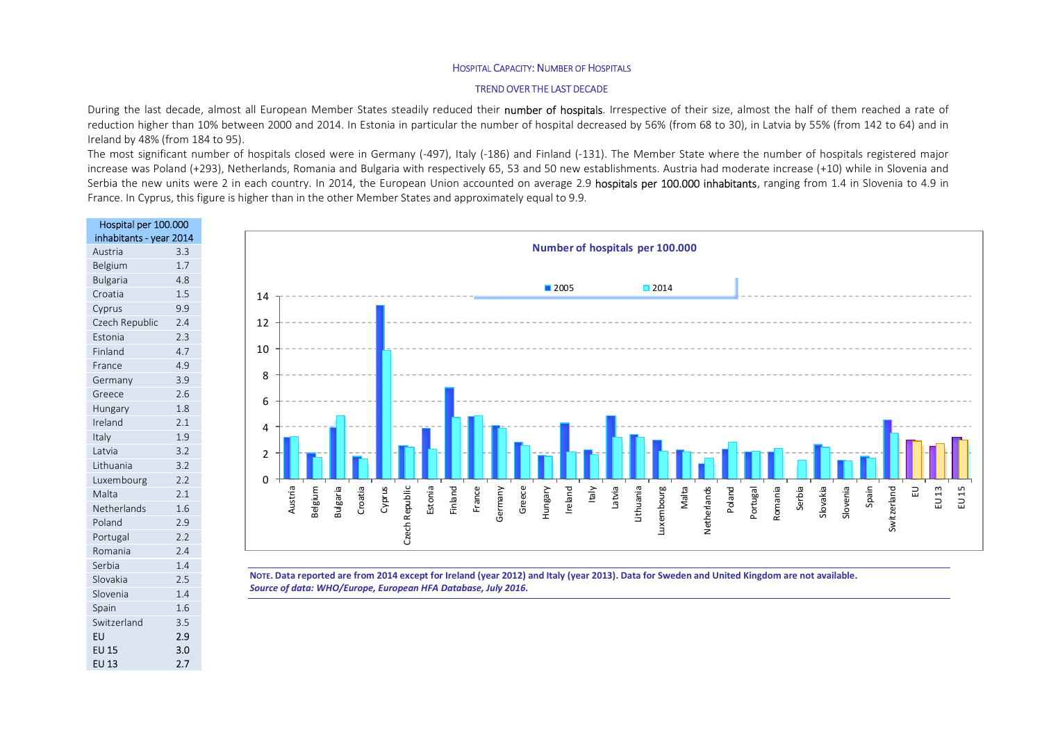## HOSPITAL CAPACITY: NUMBER OF HOSPITALS

## TREND OVER THE LAST DECADE

During the last decade, almost all European Member States steadily reduced their number of hospitals. Irrespective of their size, almost the half of them reached a rate of reduction higher than 10% between 2000 and 2014. In Estonia in particular the number of hospital decreased by 56% (from 68 to 30), in Latvia by 55% (from 142 to 64) and in Ireland by 48% (from 184 to 95).

The most significant number of hospitals closed were in Germany (-497), Italy (-186) and Finland (-131). The Member State where the number of hospitals registered major increase was Poland (+293), Netherlands, Romania and Bulgaria with respectively 65, 53 and 50 new establishments. Austria had moderate increase (+10) while in Slovenia and Serbia the new units were 2 in each country. In 2014, the European Union accounted on average 2.9 hospitals per 100.000 inhabitants, ranging from 1.4 in Slovenia to 4.9 in France. In Cyprus, this figure is higher than in the other Member States and approximately equal to 9.9.



EU 13 2.7